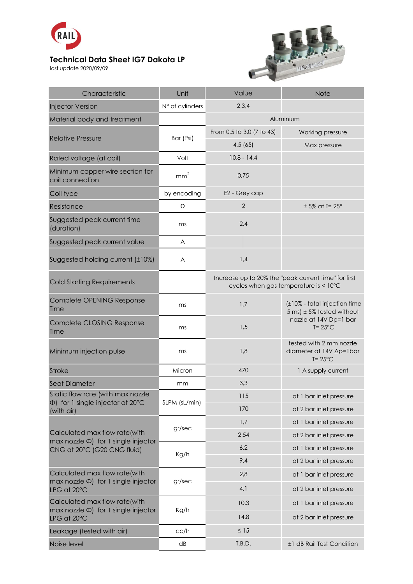

## **Technical Data Sheet IG7 Dakota LP**

last update 2020/09/09



| Characteristic                                                                                            | Unit            | Value                                                                                         | <b>Note</b>                                                                                                        |
|-----------------------------------------------------------------------------------------------------------|-----------------|-----------------------------------------------------------------------------------------------|--------------------------------------------------------------------------------------------------------------------|
| <b>Injector Version</b>                                                                                   | N° of cylinders | 2,3,4                                                                                         |                                                                                                                    |
| Material body and treatment                                                                               |                 | Aluminium                                                                                     |                                                                                                                    |
| <b>Relative Pressure</b>                                                                                  | Bar (Psi)       | From 0,5 to 3,0 (7 to 43)                                                                     | Working pressure                                                                                                   |
|                                                                                                           |                 | 4,5(65)                                                                                       | Max pressure                                                                                                       |
| Rated voltage (at coil)                                                                                   | Volt            | $10,8 - 14,4$                                                                                 |                                                                                                                    |
| Minimum copper wire section for<br>coil connection                                                        | mm <sup>2</sup> | 0,75                                                                                          |                                                                                                                    |
| Coil type                                                                                                 | by encoding     | E2 - Grey cap                                                                                 |                                                                                                                    |
| Resistance                                                                                                | Ω               | $\overline{2}$                                                                                | $± 5\%$ at T= $25^\circ$                                                                                           |
| Suggested peak current time<br>(duration)                                                                 | ms              | 2,4                                                                                           |                                                                                                                    |
| Suggested peak current value                                                                              | A               |                                                                                               |                                                                                                                    |
| Suggested holding current (±10%)                                                                          | A               | 1,4                                                                                           |                                                                                                                    |
| <b>Cold Starting Requirements</b>                                                                         |                 | Increase up to 20% the "peak current time" for first<br>cycles when gas temperature is < 10°C |                                                                                                                    |
| Complete OPENING Response<br>Time                                                                         | ms              | 1,7                                                                                           | (±10% - total injection time<br>$5 \text{ ms}$ ± 5% tested without<br>nozzle at 14V Dp=1 bar<br>$T = 25^{\circ}$ C |
| Complete CLOSING Response<br>Time                                                                         | ms              | 1,5                                                                                           |                                                                                                                    |
| Minimum injection pulse                                                                                   | ms              | 1,8                                                                                           | tested with 2 mm nozzle<br>diameter at 14V Ap=1bar<br>$T = 25^{\circ}C$                                            |
| <b>Stroke</b>                                                                                             | Micron          | 470                                                                                           | 1 A supply current                                                                                                 |
| <b>Seat Diameter</b>                                                                                      | mm              | 3,3                                                                                           |                                                                                                                    |
| Static flow rate (with max nozzle<br>$\Phi$ ) for 1 single injector at 20 $\degree$ C<br>(with air)       | SLPM (sL/min)   | 115                                                                                           | at 1 bar inlet pressure                                                                                            |
|                                                                                                           |                 | 170                                                                                           | at 2 bar inlet pressure                                                                                            |
|                                                                                                           | gr/sec          | 1,7                                                                                           | at 1 bar inlet pressure                                                                                            |
| Calculated max flow rate(with<br>max nozzle $\Phi$ ) for 1 single injector<br>CNG at 20°C (G20 CNG fluid) |                 | 2,54                                                                                          | at 2 bar inlet pressure                                                                                            |
|                                                                                                           | Kg/h            | 6,2                                                                                           | at 1 bar inlet pressure                                                                                            |
|                                                                                                           |                 | 9,4                                                                                           | at 2 bar inlet pressure                                                                                            |
| Calculated max flow rate(with<br>max nozzle $\Phi$ ) for 1 single injector<br>LPG at 20°C                 | gr/sec          | 2,8                                                                                           | at 1 bar inlet pressure                                                                                            |
|                                                                                                           |                 | 4,1                                                                                           | at 2 bar inlet pressure                                                                                            |
| Calculated max flow rate(with<br>$max$ nozzle $\Phi$ ) for 1 single injector<br>LPG at 20°C               | Kg/h            | 10,3                                                                                          | at 1 bar inlet pressure                                                                                            |
|                                                                                                           |                 | 14,8                                                                                          | at 2 bar inlet pressure                                                                                            |
| Leakage (tested with air)                                                                                 | cc/h            | $\leq 15$                                                                                     |                                                                                                                    |
| Noise level                                                                                               | dB              | T.B.D.                                                                                        | ±1 dB Rail Test Condition                                                                                          |